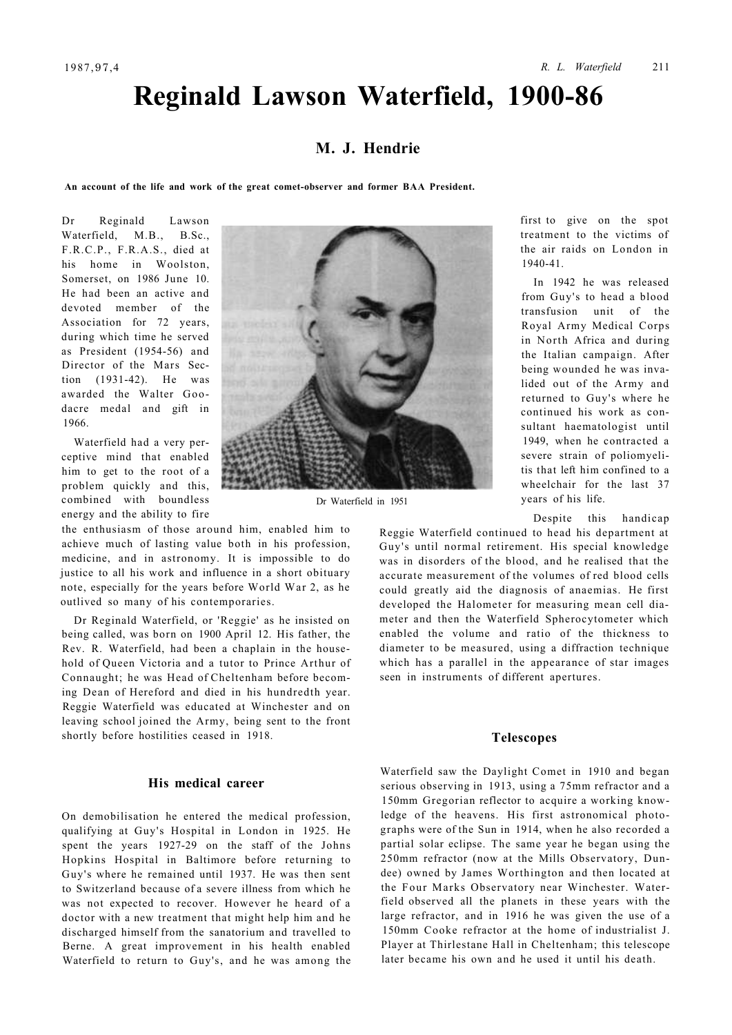# **Reginald Lawson Waterfield, 1900-86**

# **M. J. Hendrie**

**An account of the life and work of the great comet-observer and former BAA President.** 

Dr Reginald Lawson Waterfield, M.B., B.Sc., F.R.C.P., F.R.A.S., died at his home in Woolston, Somerset, on 1986 June 10. He had been an active and devoted member of the Association for 72 years, during which time he served as President (1954-56) and Director of the Mars Section (1931-42). He was awarded the Walter Goodacre medal and gift in 1966.

Waterfield had a very perceptive mind that enabled him to get to the root of a problem quickly and this, combined with boundless energy and the ability to fire

the enthusiasm of those around him, enabled him to achieve much of lasting value both in his profession, medicine, and in astronomy. It is impossible to do justice to all his work and influence in a short obituary note, especially for the years before World War 2, as he outlived so many of his contemporaries.

Dr Reginald Waterfield, or 'Reggie' as he insisted on being called, was born on 1900 April 12. His father, the Rev. R. Waterfield, had been a chaplain in the household of Queen Victoria and a tutor to Prince Arthur of Connaught; he was Head of Cheltenham before becoming Dean of Hereford and died in his hundredth year. Reggie Waterfield was educated at Winchester and on leaving school joined the Army, being sent to the front shortly before hostilities ceased in 1918.

#### **His medical career**

On demobilisation he entered the medical profession, qualifying at Guy's Hospital in London in 1925. He spent the years 1927-29 on the staff of the Johns Hopkins Hospital in Baltimore before returning to Guy's where he remained until 1937. He was then sent to Switzerland because of a severe illness from which he was not expected to recover. However he heard of a doctor with a new treatment that might help him and he discharged himself from the sanatorium and travelled to Berne. A great improvement in his health enabled Waterfield to return to Guy's, and he was among the



Dr Waterfield in 1951

first to give on the spot treatment to the victims of the air raids on London in 1940-41.

In 1942 he was released from Guy's to head a blood transfusion unit of the Royal Army Medical Corps in North Africa and during the Italian campaign. After being wounded he was invalided out of the Army and returned to Guy's where he continued his work as consultant haematologist until 1949, when he contracted a severe strain of poliomyelitis that left him confined to a wheelchair for the last 37 years of his life.

Despite this handicap

Reggie Waterfield continued to head his department at Guy's until normal retirement. His special knowledge was in disorders of the blood, and he realised that the accurate measurement of the volumes of red blood cells could greatly aid the diagnosis of anaemias. He first developed the Halometer for measuring mean cell diameter and then the Waterfield Spherocytometer which enabled the volume and ratio of the thickness to diameter to be measured, using a diffraction technique which has a parallel in the appearance of star images seen in instruments of different apertures.

#### **Telescopes**

Waterfield saw the Daylight Comet in 1910 and began serious observing in 1913, using a 75mm refractor and a 150mm Gregorian reflector to acquire a working knowledge of the heavens. His first astronomical photographs were of the Sun in 1914, when he also recorded a partial solar eclipse. The same year he began using the 250mm refractor (now at the Mills Observatory, Dundee) owned by James Worthington and then located at the Four Marks Observatory near Winchester. Waterfield observed all the planets in these years with the large refractor, and in 1916 he was given the use of a 150mm Cooke refractor at the home of industrialist J. Player at Thirlestane Hall in Cheltenham; this telescope later became his own and he used it until his death.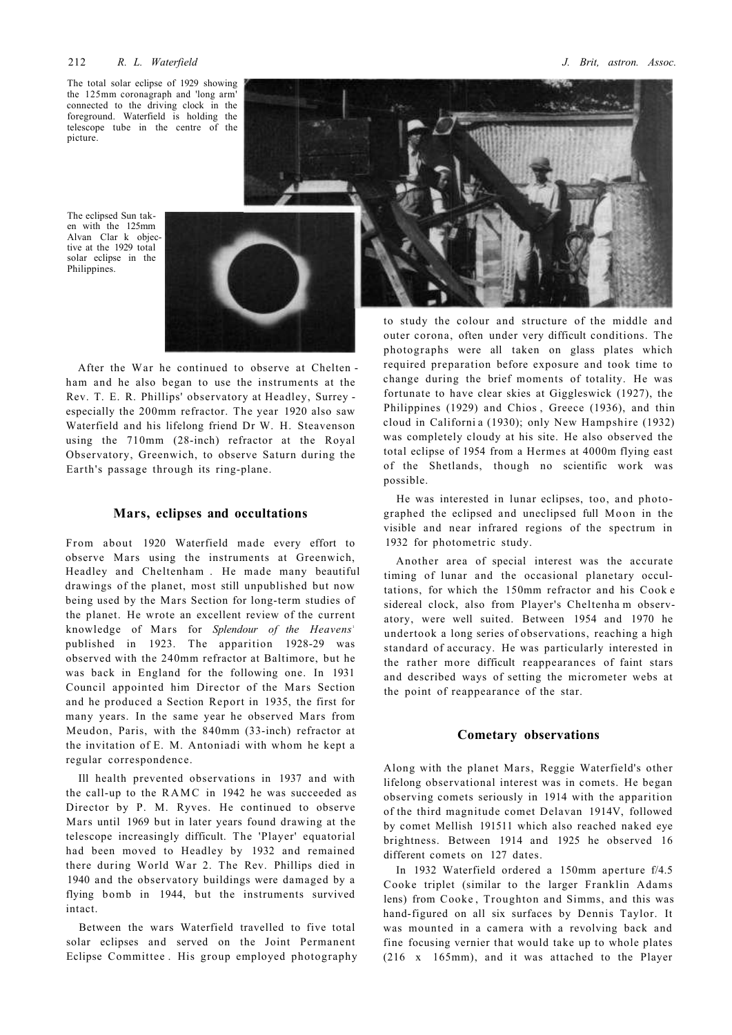#### 212 *R. L. Waterfield J. Brit, astron. Assoc.*

The total solar eclipse of 1929 showing the 125mm coronagraph and 'long arm' connected to the driving clock in the foreground. Waterfield is holding the telescope tube in the centre of the picture.

The eclipsed Sun taken with the 125mm Alvan Clar k objective at the 1929 total solar eclipse in the Philippines.



After the War he continued to observe at Chelten ham and he also began to use the instruments at the Rev. T. E. R. Phillips' observatory at Headley, Surrey especially the 200mm refractor. The year 1920 also saw Waterfield and his lifelong friend Dr W. H. Steavenson using the 710mm (28-inch) refractor at the Royal Observatory, Greenwich, to observe Saturn during the Earth's passage through its ring-plane.

#### **Mars, eclipses and occultations**

From about 1920 Waterfield made every effort to observe Mars using the instruments at Greenwich, Headley and Cheltenham . He made many beautiful drawings of the planet, most still unpublished but now being used by the Mars Section for long-term studies of the planet. He wrote an excellent review of the current knowledge of Mars for *Splendour* of the *Heavens*<sup>1</sup> published in 1923. The apparition 1928-29 was observed with the 240mm refractor at Baltimore, but he was back in England for the following one. In 1931 Council appointed him Director of the Mars Section and he produced a Section Report in 1935, the first for many years. In the same year he observed Mars from Meudon, Paris, with the 840mm (33-inch) refractor at the invitation of Ε. M. Antoniadi with whom he kept a regular correspondence.

Ill health prevented observations in 1937 and with the call-up to the  $RAMC$  in 1942 he was succeeded as Director by P. M. Ryves. He continued to observe Mars until 1969 but in later years found drawing at the telescope increasingly difficult. The 'Player' equatorial had been moved to Headley by 1932 and remained there during World War 2. The Rev. Phillips died in 1940 and the observatory buildings were damaged by a flying bomb in 1944, but the instruments survived intact.

Between the wars Waterfield travelled to five total solar eclipses and served on the Joint Permanent Eclipse Committee . His group employed photography



outer corona, often under very difficult conditions. The photographs were all taken on glass plates which required preparation before exposure and took time to change during the brief moments of totality. He was fortunate to have clear skies at Giggleswick (1927), the Philippines (1929) and Chios , Greece (1936), and thin cloud in Californi a (1930); only New Hampshire (1932) was completely cloudy at his site. He also observed the total eclipse of 1954 from a Hermes at 4000m flying east of the Shetlands, though no scientific work was possible.

He was interested in lunar eclipses, too, and photographed the eclipsed and uneclipsed full Moon in the visible and near infrared regions of the spectrum in 1932 for photometric study.

Another area of special interest was the accurate timing of lunar and the occasional planetary occultations, for which the 150mm refractor and his Cook e sidereal clock, also from Player's Cheltenha m observatory, were well suited. Between 1954 and 1970 he undertook a long series of observations, reaching a high standard of accuracy. He was particularly interested in the rather more difficult reappearances of faint stars and described ways of setting the micrometer webs at the point of reappearance of the star.

### **Cometary observations**

Along with the planet Mars, Reggie Waterfield's other lifelong observational interest was in comets. He began observing comets seriously in 1914 with the apparition of the third magnitude comet Delavan 1914V, followed by comet Mellish 191511 which also reached naked eye brightness. Between 1914 and 1925 he observed 16 different comets on 127 dates.

In 1932 Waterfield ordered a 150mm aperture f/4.5 Cooke triplet (similar to the larger Franklin Adams lens) from Cooke , Troughton and Simms, and this was hand-figured on all six surfaces by Dennis Taylor. It was mounted in a camera with a revolving back and fine focusing vernier that would take up to whole plates (216 x 165mm), and it was attached to the Player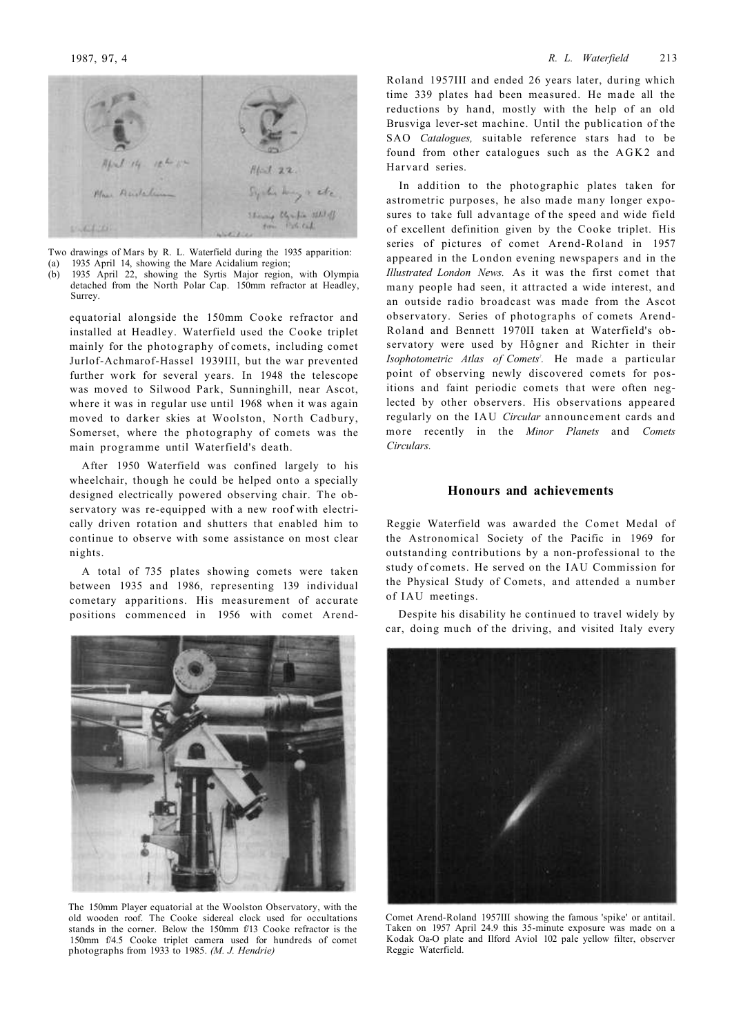

Two drawings of Mars by R. L. Waterfield during the 1935 apparition: (a) 1935 April 14, showing the Mare Acidalium region;

(b) 1935 April 22, showing the Syrtis Major region, with Olympia detached from the North Polar Cap. 150mm refractor at Headley, Surrey.

equatorial alongside the 150mm Cooke refractor and installed at Headley. Waterfield used the Cooke triplet mainly for the photography of comets, including comet Jurlof-Achmarof-Hassel 1939III, but the war prevented further work for several years. In 1948 the telescope was moved to Silwood Park, Sunninghill, near Ascot, where it was in regular use until 1968 when it was again moved to darker skies at Woolston, North Cadbury, Somerset, where the photography of comets was the main programme until Waterfield's death.

After 1950 Waterfield was confined largely to his wheelchair, though he could be helped onto a specially designed electrically powered observing chair. The observatory was re-equipped with a new roof with electrically driven rotation and shutters that enabled him to continue to observe with some assistance on most clear nights.

A total of 735 plates showing comets were taken between 1935 and 1986, representing 139 individual cometary apparitions. His measurement of accurate positions commenced in 1956 with comet Arend-



The 150mm Player equatorial at the Woolston Observatory, with the old wooden roof. The Cooke sidereal clock used for occultations stands in the corner. Below the 150mm f/13 Cooke refractor is the 150mm f/4.5 Cooke triplet camera used for hundreds of comet photographs from 1933 to 1985. *(M. J. Hendrie)* 

Roland 1957III and ended 26 years later, during which time 339 plates had been measured. He made all the reductions by hand, mostly with the help of an old Brusviga lever-set machine. Until the publication of the SAO *Catalogues,* suitable reference stars had to be found from other catalogues such as the AGK2 and Harvard series.

In addition to the photographic plates taken for astrometric purposes, he also made many longer exposures to take full advantage of the speed and wide field of excellent definition given by the Cooke triplet. His series of pictures of comet Arend-Roland in 1957 appeared in the London evening newspapers and in the *Illustrated London News.* As it was the first comet that many people had seen, it attracted a wide interest, and an outside radio broadcast was made from the Ascot observatory. Series of photographs of comets Arend-Roland and Bennett 1970II taken at Waterfield's observatory were used by Hôgner and Richter in their *Isophotometric Atlas of Comets<sup>2</sup> .* He made a particular point of observing newly discovered comets for positions and faint periodic comets that were often neglected by other observers. His observations appeared regularly on the IAU *Circular* announcement cards and more recently in the *Minor Planets* and *Comets Circulars.* 

## **Honours and achievements**

Reggie Waterfield was awarded the Comet Medal of the Astronomical Society of the Pacific in 1969 for outstanding contributions by a non-professional to the study of comets. He served on the IAU Commission for the Physical Study of Comets, and attended a number of IAU meetings.

Despite his disability he continued to travel widely by car, doing much of the driving, and visited Italy every



Comet Arend-Roland 1957III showing the famous 'spike' or antitail. Taken on 1957 April 24.9 this 35-minute exposure was made on a Kodak Oa-O plate and Ilford Aviol 102 pale yellow filter, observer Reggie Waterfield.